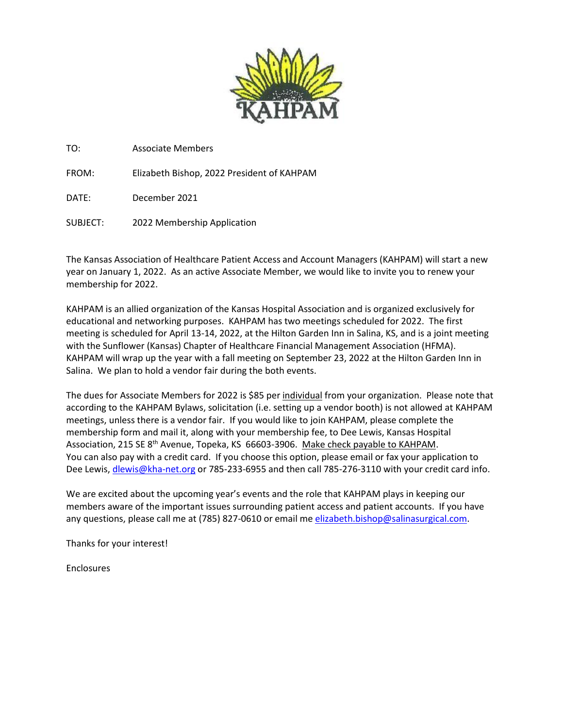

TO: Associate Members

FROM: Elizabeth Bishop, 2022 President of KAHPAM

DATE: December 2021

SUBJECT: 2022 Membership Application

The Kansas Association of Healthcare Patient Access and Account Managers (KAHPAM) will start a new year on January 1, 2022. As an active Associate Member, we would like to invite you to renew your membership for 2022.

KAHPAM is an allied organization of the Kansas Hospital Association and is organized exclusively for educational and networking purposes. KAHPAM has two meetings scheduled for 2022. The first meeting is scheduled for April 13-14, 2022, at the Hilton Garden Inn in Salina, KS, and is a joint meeting with the Sunflower (Kansas) Chapter of Healthcare Financial Management Association (HFMA). KAHPAM will wrap up the year with a fall meeting on September 23, 2022 at the Hilton Garden Inn in Salina. We plan to hold a vendor fair during the both events.

The dues for Associate Members for 2022 is \$85 per individual from your organization. Please note that according to the KAHPAM Bylaws, solicitation (i.e. setting up a vendor booth) is not allowed at KAHPAM meetings, unless there is a vendor fair. If you would like to join KAHPAM, please complete the membership form and mail it, along with your membership fee, to Dee Lewis, Kansas Hospital Association, 215 SE 8<sup>th</sup> Avenue, Topeka, KS 66603-3906. Make check payable to KAHPAM. You can also pay with a credit card. If you choose this option, please email or fax your application to Dee Lewis, [dlewis@kha-net.org](mailto:dlewis@kha-net.org) or 785-233-6955 and then call 785-276-3110 with your credit card info.

We are excited about the upcoming year's events and the role that KAHPAM plays in keeping our members aware of the important issues surrounding patient access and patient accounts. If you have any questions, please call me at (785) 827-0610 or email me [elizabeth.bishop@salinasurgical.com.](mailto:elizabeth.bishop@salinasurgical.com)

Thanks for your interest!

Enclosures